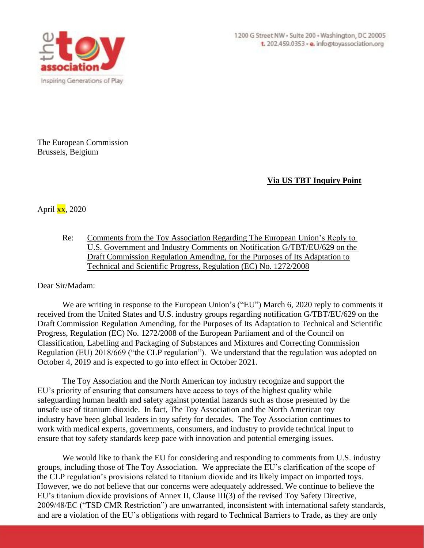

The European Commission Brussels, Belgium

## **Via US TBT Inquiry Point**

April  $\overline{\text{xx}}$ , 2020

Re: Comments from the Toy Association Regarding The European Union's Reply to U.S. Government and Industry Comments on Notification G/TBT/EU/629 on the Draft Commission Regulation Amending, for the Purposes of Its Adaptation to Technical and Scientific Progress, Regulation (EC) No. 1272/2008

Dear Sir/Madam:

We are writing in response to the European Union's ("EU") March 6, 2020 reply to comments it received from the United States and U.S. industry groups regarding notification G/TBT/EU/629 on the Draft Commission Regulation Amending, for the Purposes of Its Adaptation to Technical and Scientific Progress, Regulation (EC) No. 1272/2008 of the European Parliament and of the Council on Classification, Labelling and Packaging of Substances and Mixtures and Correcting Commission Regulation (EU) 2018/669 ("the CLP regulation"). We understand that the regulation was adopted on October 4, 2019 and is expected to go into effect in October 2021.

The Toy Association and the North American toy industry recognize and support the EU's priority of ensuring that consumers have access to toys of the highest quality while safeguarding human health and safety against potential hazards such as those presented by the unsafe use of titanium dioxide. In fact, The Toy Association and the North American toy industry have been global leaders in toy safety for decades. The Toy Association continues to work with medical experts, governments, consumers, and industry to provide technical input to ensure that toy safety standards keep pace with innovation and potential emerging issues.

We would like to thank the EU for considering and responding to comments from U.S. industry groups, including those of The Toy Association. We appreciate the EU's clarification of the scope of the CLP regulation's provisions related to titanium dioxide and its likely impact on imported toys. However, we do not believe that our concerns were adequately addressed. We continue to believe the EU's titanium dioxide provisions of Annex II, Clause III(3) of the revised Toy Safety Directive, 2009/48/EC ("TSD CMR Restriction") are unwarranted, inconsistent with international safety standards, and are a violation of the EU's obligations with regard to Technical Barriers to Trade, as they are only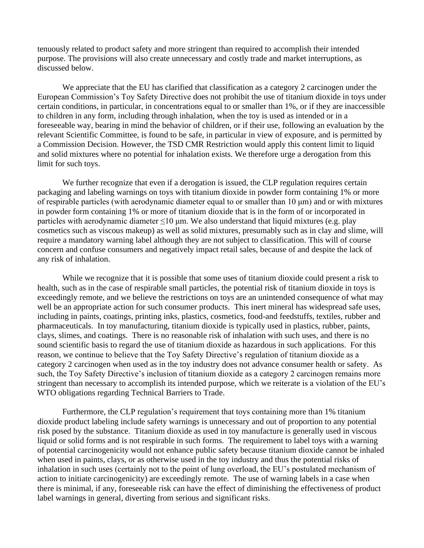tenuously related to product safety and more stringent than required to accomplish their intended purpose. The provisions will also create unnecessary and costly trade and market interruptions, as discussed below.

We appreciate that the EU has clarified that classification as a category 2 carcinogen under the European Commission's Toy Safety Directive does not prohibit the use of titanium dioxide in toys under certain conditions, in particular, in concentrations equal to or smaller than 1%, or if they are inaccessible to children in any form, including through inhalation, when the toy is used as intended or in a foreseeable way, bearing in mind the behavior of children, or if their use, following an evaluation by the relevant Scientific Committee, is found to be safe, in particular in view of exposure, and is permitted by a Commission Decision. However, the TSD CMR Restriction would apply this content limit to liquid and solid mixtures where no potential for inhalation exists. We therefore urge a derogation from this limit for such toys.

We further recognize that even if a derogation is issued, the CLP regulation requires certain packaging and labeling warnings on toys with titanium dioxide in powder form containing 1% or more of respirable particles (with aerodynamic diameter equal to or smaller than 10 μm) and or with mixtures in powder form containing 1% or more of titanium dioxide that is in the form of or incorporated in particles with aerodynamic diameter  $\leq 10$  μm. We also understand that liquid mixtures (e.g. play cosmetics such as viscous makeup) as well as solid mixtures, presumably such as in clay and slime, will require a mandatory warning label although they are not subject to classification. This will of course concern and confuse consumers and negatively impact retail sales, because of and despite the lack of any risk of inhalation.

While we recognize that it is possible that some uses of titanium dioxide could present a risk to health, such as in the case of respirable small particles, the potential risk of titanium dioxide in toys is exceedingly remote, and we believe the restrictions on toys are an unintended consequence of what may well be an appropriate action for such consumer products. This inert mineral has widespread safe uses, including in paints, coatings, printing inks, plastics, cosmetics, food-and feedstuffs, textiles, rubber and pharmaceuticals. In toy manufacturing, titanium dioxide is typically used in plastics, rubber, paints, clays, slimes, and coatings. There is no reasonable risk of inhalation with such uses, and there is no sound scientific basis to regard the use of titanium dioxide as hazardous in such applications. For this reason, we continue to believe that the Toy Safety Directive's regulation of titanium dioxide as a category 2 carcinogen when used as in the toy industry does not advance consumer health or safety. As such, the Toy Safety Directive's inclusion of titanium dioxide as a category 2 carcinogen remains more stringent than necessary to accomplish its intended purpose, which we reiterate is a violation of the EU's WTO obligations regarding Technical Barriers to Trade.

Furthermore, the CLP regulation's requirement that toys containing more than 1% titanium dioxide product labeling include safety warnings is unnecessary and out of proportion to any potential risk posed by the substance. Titanium dioxide as used in toy manufacture is generally used in viscous liquid or solid forms and is not respirable in such forms. The requirement to label toys with a warning of potential carcinogenicity would not enhance public safety because titanium dioxide cannot be inhaled when used in paints, clays, or as otherwise used in the toy industry and thus the potential risks of inhalation in such uses (certainly not to the point of lung overload, the EU's postulated mechanism of action to initiate carcinogenicity) are exceedingly remote. The use of warning labels in a case when there is minimal, if any, foreseeable risk can have the effect of diminishing the effectiveness of product label warnings in general, diverting from serious and significant risks.